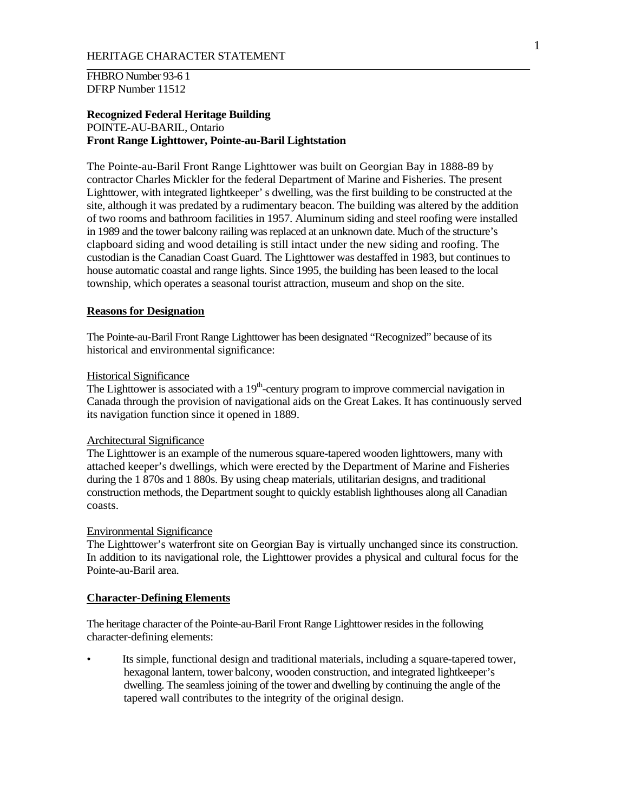FHBRO Number 93-6 1 DFRP Number 11512

# **Recognized Federal Heritage Building**  POINTE-AU-BARIL, Ontario **Front Range Lighttower, Pointe-au-Baril Lightstation**

The Pointe-au-Baril Front Range Lighttower was built on Georgian Bay in 1888-89 by contractor Charles Mickler for the federal Department of Marine and Fisheries. The present Lighttower, with integrated lightkeeper' s dwelling, was the first building to be constructed at the site, although it was predated by a rudimentary beacon. The building was altered by the addition of two rooms and bathroom facilities in 1957. Aluminum siding and steel roofing were installed in 1989 and the tower balcony railing was replaced at an unknown date. Much of the structure's clapboard siding and wood detailing is still intact under the new siding and roofing. The custodian is the Canadian Coast Guard. The Lighttower was destaffed in 1983, but continues to house automatic coastal and range lights. Since 1995, the building has been leased to the local township, which operates a seasonal tourist attraction, museum and shop on the site.

# **Reasons for Designation**

The Pointe-au-Baril Front Range Lighttower has been designated "Recognized" because of its historical and environmental significance:

#### Historical Significance

The Lighttower is associated with a  $19<sup>th</sup>$ -century program to improve commercial navigation in Canada through the provision of navigational aids on the Great Lakes. It has continuously served its navigation function since it opened in 1889.

### Architectural Significance

The Lighttower is an example of the numerous square-tapered wooden lighttowers, many with attached keeper's dwellings, which were erected by the Department of Marine and Fisheries during the 1 870s and 1 880s. By using cheap materials, utilitarian designs, and traditional construction methods, the Department sought to quickly establish lighthouses along all Canadian coasts.

## Environmental Significance

The Lighttower's waterfront site on Georgian Bay is virtually unchanged since its construction. In addition to its navigational role, the Lighttower provides a physical and cultural focus for the Pointe-au-Baril area.

## **Character-Defining Elements**

The heritage character of the Pointe-au-Baril Front Range Lighttower resides in the following character-defining elements:

Its simple, functional design and traditional materials, including a square-tapered tower, hexagonal lantern, tower balcony, wooden construction, and integrated lightkeeper's dwelling. The seamless joining of the tower and dwelling by continuing the angle of the tapered wall contributes to the integrity of the original design.